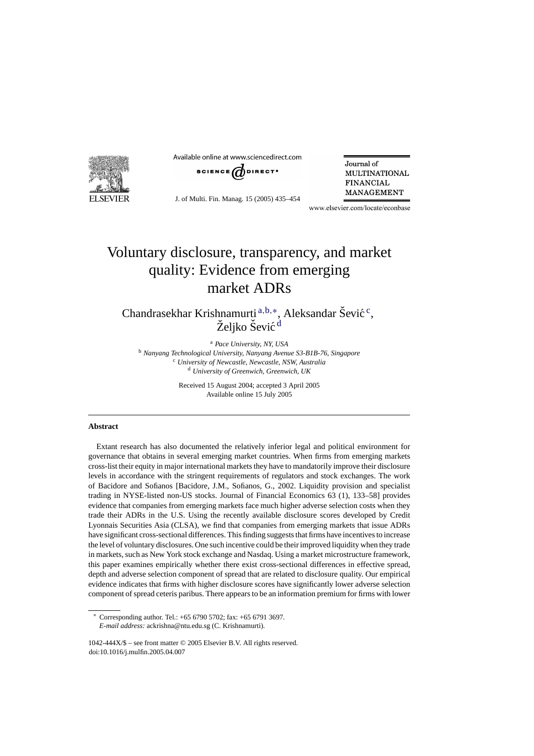

Available online at www.sciencedirect.com



J. of Multi. Fin. Manag. 15 (2005) 435–454

Journal of **MULTINATIONAL FINANCIAL MANAGEMENT** 

www.elsevier.com/locate/econbase

## Voluntary disclosure, transparency, and market quality: Evidence from emerging market ADRs

Chandrasekhar Krishnamurti<sup>a,b,\*</sup>, Aleksandar Šević<sup>c</sup>, Željko Šević<sup>d</sup>

<sup>a</sup> *Pace University, NY, USA* <sup>b</sup> *Nanyang Technological University, Nanyang Avenue S3-B1B-76, Singapore* <sup>c</sup> *University of Newcastle, Newcastle, NSW, Australia* <sup>d</sup> *University of Greenwich, Greenwich, UK*

> Received 15 August 2004; accepted 3 April 2005 Available online 15 July 2005

## **Abstract**

Extant research has also documented the relatively inferior legal and political environment for governance that obtains in several emerging market countries. When firms from emerging markets cross-list their equity in major international markets they have to mandatorily improve their disclosure levels in accordance with the stringent requirements of regulators and stock exchanges. The work of Bacidore and Sofianos [Bacidore, J.M., Sofianos, G., 2002. Liquidity provision and specialist trading in NYSE-listed non-US stocks. Journal of Financial Economics 63 (1), 133–58] provides evidence that companies from emerging markets face much higher adverse selection costs when they trade their ADRs in the U.S. Using the recently available disclosure scores developed by Credit Lyonnais Securities Asia (CLSA), we find that companies from emerging markets that issue ADRs have significant cross-sectional differences. This finding suggests that firms have incentives to increase the level of voluntary disclosures. One such incentive could be their improved liquidity when they trade in markets, such as New York stock exchange and Nasdaq. Using a market microstructure framework, this paper examines empirically whether there exist cross-sectional differences in effective spread, depth and adverse selection component of spread that are related to disclosure quality. Our empirical evidence indicates that firms with higher disclosure scores have significantly lower adverse selection component of spread ceteris paribus. There appears to be an information premium for firms with lower

<sup>∗</sup> Corresponding author. Tel.: +65 6790 5702; fax: +65 6791 3697. *E-mail address:* ackrishna@ntu.edu.sg (C. Krishnamurti).

<sup>1042-444</sup>X/\$ – see front matter © 2005 Elsevier B.V. All rights reserved. doi:10.1016/j.mulfin.2005.04.007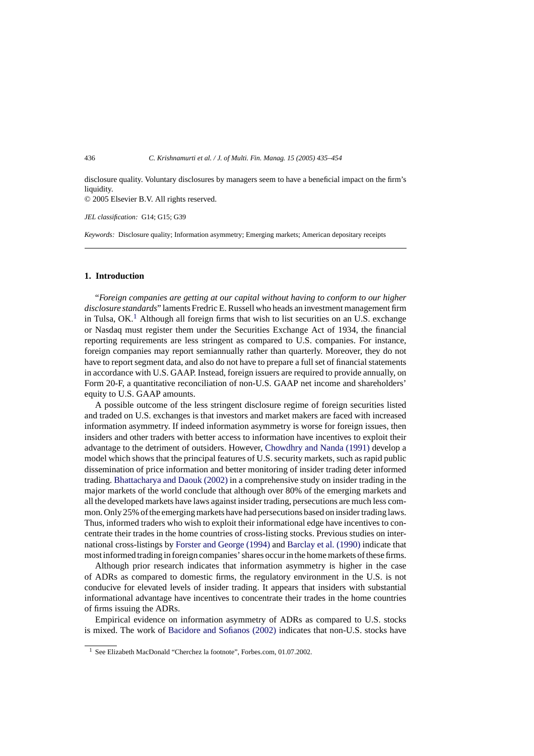disclosure quality. Voluntary disclosures by managers seem to have a beneficial impact on the firm's liquidity.

© 2005 Elsevier B.V. All rights reserved.

*JEL classification:* G14; G15; G39

*Keywords:* Disclosure quality; Information asymmetry; Emerging markets; American depositary receipts

## **1. Introduction**

"*Foreign companies are getting at our capital without having to conform to our higher disclosure standards*" laments Fredric E. Russell who heads an investment management firm in Tulsa,  $OK<sup>1</sup>$  Although all foreign firms that wish to list securities on an U.S. exchange or Nasdaq must register them under the Securities Exchange Act of 1934, the financial reporting requirements are less stringent as compared to U.S. companies. For instance, foreign companies may report semiannually rather than quarterly. Moreover, they do not have to report segment data, and also do not have to prepare a full set of financial statements in accordance with U.S. GAAP. Instead, foreign issuers are required to provide annually, on Form 20-F, a quantitative reconciliation of non-U.S. GAAP net income and shareholders' equity to U.S. GAAP amounts.

A possible outcome of the less stringent disclosure regime of foreign securities listed and traded on U.S. exchanges is that investors and market makers are faced with increased information asymmetry. If indeed information asymmetry is worse for foreign issues, then insiders and other traders with better access to information have incentives to exploit their advantage to the detriment of outsiders. However, [Chowdhry and Nanda \(1991\)](#page--1-0) develop a model which shows that the principal features of U.S. security markets, such as rapid public dissemination of price information and better monitoring of insider trading deter informed trading. [Bhattacharya and Daouk \(2002\)](#page--1-0) in a comprehensive study on insider trading in the major markets of the world conclude that although over 80% of the emerging markets and all the developed markets have laws against insider trading, persecutions are much less common. Only 25% of the emerging markets have had persecutions based on insider trading laws. Thus, informed traders who wish to exploit their informational edge have incentives to concentrate their trades in the home countries of cross-listing stocks. Previous studies on international cross-listings by [Forster and George \(1994\)](#page--1-0) and [Barclay et al. \(1990\)](#page--1-0) indicate that most informed trading in foreign companies' shares occur in the home markets of these firms.

Although prior research indicates that information asymmetry is higher in the case of ADRs as compared to domestic firms, the regulatory environment in the U.S. is not conducive for elevated levels of insider trading. It appears that insiders with substantial informational advantage have incentives to concentrate their trades in the home countries of firms issuing the ADRs.

Empirical evidence on information asymmetry of ADRs as compared to U.S. stocks is mixed. The work of [Bacidore and Sofianos \(2002\)](#page--1-0) indicates that non-U.S. stocks have

<sup>1</sup> See Elizabeth MacDonald "Cherchez la footnote", Forbes.com, 01.07.2002.